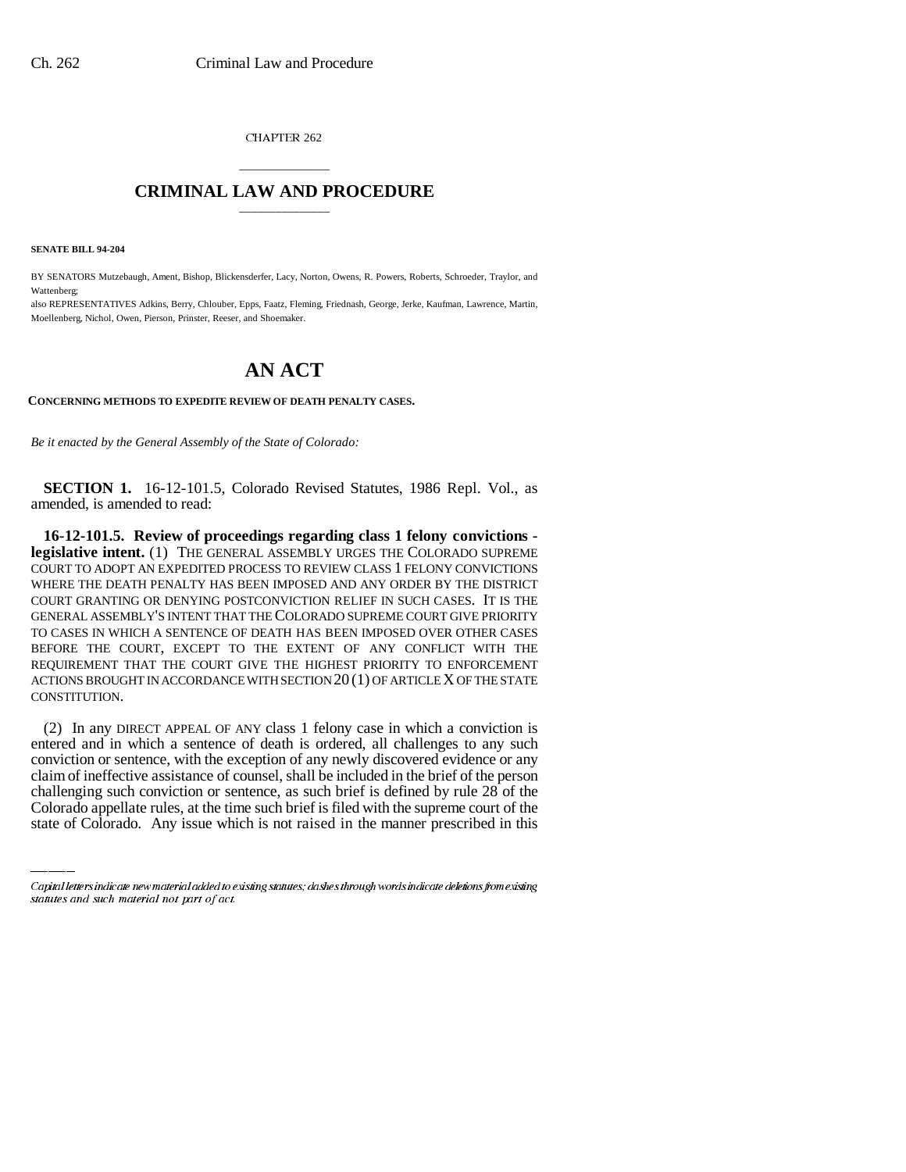CHAPTER 262

## \_\_\_\_\_\_\_\_\_\_\_\_\_\_\_ **CRIMINAL LAW AND PROCEDURE** \_\_\_\_\_\_\_\_\_\_\_\_\_\_\_

**SENATE BILL 94-204**

BY SENATORS Mutzebaugh, Ament, Bishop, Blickensderfer, Lacy, Norton, Owens, R. Powers, Roberts, Schroeder, Traylor, and Wattenberg;

also REPRESENTATIVES Adkins, Berry, Chlouber, Epps, Faatz, Fleming, Friednash, George, Jerke, Kaufman, Lawrence, Martin, Moellenberg, Nichol, Owen, Pierson, Prinster, Reeser, and Shoemaker.

## **AN ACT**

## **CONCERNING METHODS TO EXPEDITE REVIEW OF DEATH PENALTY CASES.**

*Be it enacted by the General Assembly of the State of Colorado:*

**SECTION 1.** 16-12-101.5, Colorado Revised Statutes, 1986 Repl. Vol., as amended, is amended to read:

**16-12-101.5. Review of proceedings regarding class 1 felony convictions legislative intent.** (1) THE GENERAL ASSEMBLY URGES THE COLORADO SUPREME COURT TO ADOPT AN EXPEDITED PROCESS TO REVIEW CLASS 1 FELONY CONVICTIONS WHERE THE DEATH PENALTY HAS BEEN IMPOSED AND ANY ORDER BY THE DISTRICT COURT GRANTING OR DENYING POSTCONVICTION RELIEF IN SUCH CASES. IT IS THE GENERAL ASSEMBLY'S INTENT THAT THE COLORADO SUPREME COURT GIVE PRIORITY TO CASES IN WHICH A SENTENCE OF DEATH HAS BEEN IMPOSED OVER OTHER CASES BEFORE THE COURT, EXCEPT TO THE EXTENT OF ANY CONFLICT WITH THE REQUIREMENT THAT THE COURT GIVE THE HIGHEST PRIORITY TO ENFORCEMENT ACTIONS BROUGHT IN ACCORDANCE WITH SECTION 20 (1) OF ARTICLE X OF THE STATE CONSTITUTION.

conviction or sentence, with the exception of any newly discovered evidence or any (2) In any DIRECT APPEAL OF ANY class 1 felony case in which a conviction is entered and in which a sentence of death is ordered, all challenges to any such claim of ineffective assistance of counsel, shall be included in the brief of the person challenging such conviction or sentence, as such brief is defined by rule 28 of the Colorado appellate rules, at the time such brief is filed with the supreme court of the state of Colorado. Any issue which is not raised in the manner prescribed in this

Capital letters indicate new material added to existing statutes; dashes through words indicate deletions from existing statutes and such material not part of act.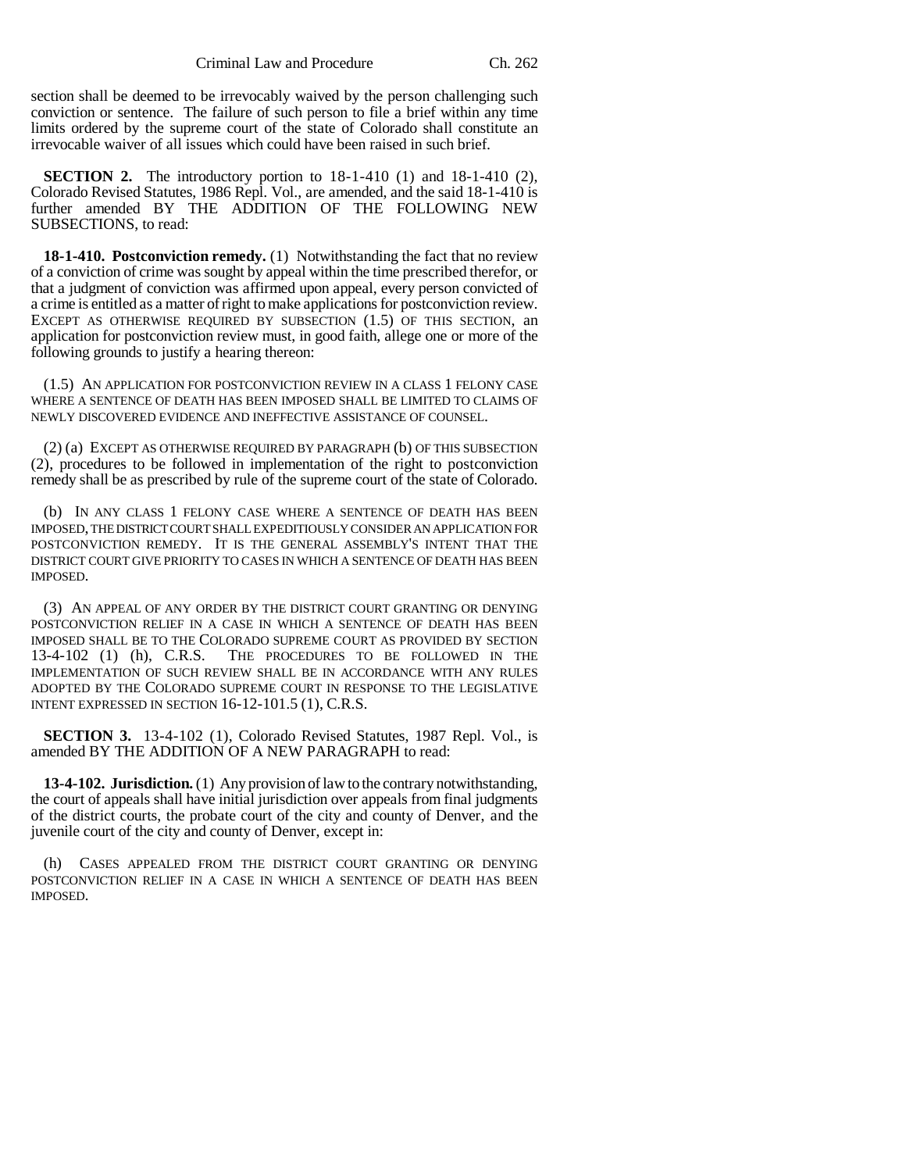section shall be deemed to be irrevocably waived by the person challenging such conviction or sentence. The failure of such person to file a brief within any time limits ordered by the supreme court of the state of Colorado shall constitute an irrevocable waiver of all issues which could have been raised in such brief.

**SECTION 2.** The introductory portion to 18-1-410 (1) and 18-1-410 (2), Colorado Revised Statutes, 1986 Repl. Vol., are amended, and the said 18-1-410 is further amended BY THE ADDITION OF THE FOLLOWING NEW SUBSECTIONS, to read:

**18-1-410. Postconviction remedy.** (1) Notwithstanding the fact that no review of a conviction of crime was sought by appeal within the time prescribed therefor, or that a judgment of conviction was affirmed upon appeal, every person convicted of a crime is entitled as a matter of right to make applications for postconviction review. EXCEPT AS OTHERWISE REQUIRED BY SUBSECTION (1.5) OF THIS SECTION, an application for postconviction review must, in good faith, allege one or more of the following grounds to justify a hearing thereon:

(1.5) AN APPLICATION FOR POSTCONVICTION REVIEW IN A CLASS 1 FELONY CASE WHERE A SENTENCE OF DEATH HAS BEEN IMPOSED SHALL BE LIMITED TO CLAIMS OF NEWLY DISCOVERED EVIDENCE AND INEFFECTIVE ASSISTANCE OF COUNSEL.

(2) (a) EXCEPT AS OTHERWISE REQUIRED BY PARAGRAPH (b) OF THIS SUBSECTION (2), procedures to be followed in implementation of the right to postconviction remedy shall be as prescribed by rule of the supreme court of the state of Colorado.

(b) IN ANY CLASS 1 FELONY CASE WHERE A SENTENCE OF DEATH HAS BEEN IMPOSED, THE DISTRICT COURT SHALL EXPEDITIOUSLY CONSIDER AN APPLICATION FOR POSTCONVICTION REMEDY. IT IS THE GENERAL ASSEMBLY'S INTENT THAT THE DISTRICT COURT GIVE PRIORITY TO CASES IN WHICH A SENTENCE OF DEATH HAS BEEN IMPOSED.

(3) AN APPEAL OF ANY ORDER BY THE DISTRICT COURT GRANTING OR DENYING POSTCONVICTION RELIEF IN A CASE IN WHICH A SENTENCE OF DEATH HAS BEEN IMPOSED SHALL BE TO THE COLORADO SUPREME COURT AS PROVIDED BY SECTION 13-4-102 (1) (h), C.R.S. THE PROCEDURES TO BE FOLLOWED IN THE IMPLEMENTATION OF SUCH REVIEW SHALL BE IN ACCORDANCE WITH ANY RULES ADOPTED BY THE COLORADO SUPREME COURT IN RESPONSE TO THE LEGISLATIVE INTENT EXPRESSED IN SECTION 16-12-101.5 (1), C.R.S.

**SECTION 3.** 13-4-102 (1), Colorado Revised Statutes, 1987 Repl. Vol., is amended BY THE ADDITION OF A NEW PARAGRAPH to read:

**13-4-102. Jurisdiction.** (1) Any provision of law to the contrary notwithstanding, the court of appeals shall have initial jurisdiction over appeals from final judgments of the district courts, the probate court of the city and county of Denver, and the juvenile court of the city and county of Denver, except in:

(h) CASES APPEALED FROM THE DISTRICT COURT GRANTING OR DENYING POSTCONVICTION RELIEF IN A CASE IN WHICH A SENTENCE OF DEATH HAS BEEN IMPOSED.